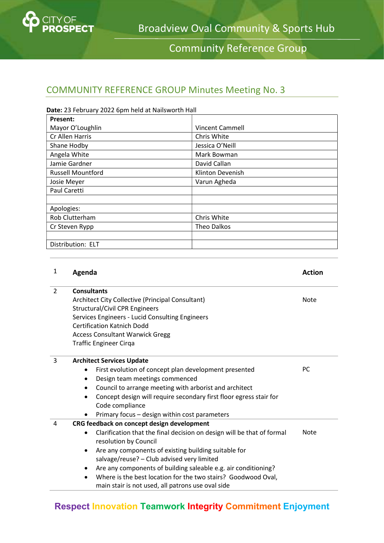

# Community Reference Group

## COMMUNITY REFERENCE GROUP Minutes Meeting No. 3

| Date: 23 February 2022 6pm held at Nailsworth Hall |                        |  |  |  |
|----------------------------------------------------|------------------------|--|--|--|
| <b>Present:</b>                                    |                        |  |  |  |
| Mayor O'Loughlin                                   | <b>Vincent Cammell</b> |  |  |  |
| Cr Allen Harris                                    | Chris White            |  |  |  |
| Shane Hodby                                        | Jessica O'Neill        |  |  |  |
| Angela White                                       | Mark Bowman            |  |  |  |
| Jamie Gardner                                      | David Callan           |  |  |  |
| <b>Russell Mountford</b>                           | Klinton Devenish       |  |  |  |
| Josie Meyer                                        | Varun Agheda           |  |  |  |
| Paul Caretti                                       |                        |  |  |  |
|                                                    |                        |  |  |  |
| Apologies:                                         |                        |  |  |  |
| Rob Clutterham                                     | Chris White            |  |  |  |
| Cr Steven Rypp                                     | Theo Dalkos            |  |  |  |
|                                                    |                        |  |  |  |
| Distribution: ELT                                  |                        |  |  |  |

#### 1 Agenda **Action** Action Action Action Action 2 Consultants Architect City Collective (Principal Consultant) Structural/Civil CPR Engineers Services Engineers - Lucid Consulting Engineers Certification Katnich Dodd Access Consultant Warwick Gregg Traffic Engineer Cirqa Note 3 Architect Services Update First evolution of concept plan development presented Design team meetings commenced Council to arrange meeting with arborist and architect Concept design will require secondary first floor egress stair for Code compliance • Primary focus - design within cost parameters PC 4 CRG feedback on concept design development Clarification that the final decision on design will be that of formal resolution by Council Are any components of existing building suitable for salvage/reuse? – Club advised very limited Are any components of building saleable e.g. air conditioning? Where is the best location for the two stairs? Goodwood Oval, main stair is not used, all patrons use oval side Note

# Respect Innovation Teamwork Integrity Commitment Enjoyment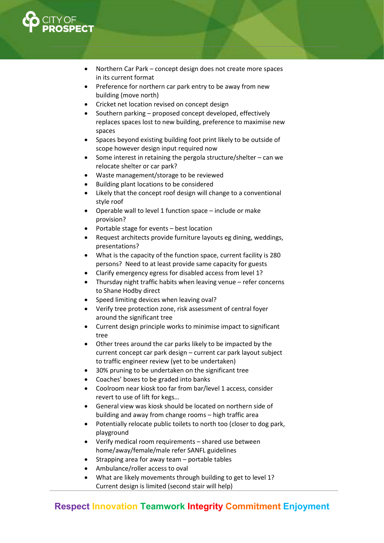

- Northern Car Park concept design does not create more spaces in its current format
- Preference for northern car park entry to be away from new building (move north)
- Cricket net location revised on concept design
- Southern parking proposed concept developed, effectively replaces spaces lost to new building, preference to maximise new spaces
- Spaces beyond existing building foot print likely to be outside of scope however design input required now
- Some interest in retaining the pergola structure/shelter can we relocate shelter or car park?
- Waste management/storage to be reviewed
- Building plant locations to be considered
- Likely that the concept roof design will change to a conventional style roof
- Operable wall to level 1 function space include or make provision?
- Portable stage for events best location
- Request architects provide furniture layouts eg dining, weddings, presentations?
- What is the capacity of the function space, current facility is 280 persons? Need to at least provide same capacity for guests
- Clarify emergency egress for disabled access from level 1?
- Thursday night traffic habits when leaving venue refer concerns to Shane Hodby direct
- Speed limiting devices when leaving oval?
- Verify tree protection zone, risk assessment of central foyer around the significant tree
- Current design principle works to minimise impact to significant tree
- Other trees around the car parks likely to be impacted by the current concept car park design – current car park layout subject to traffic engineer review (yet to be undertaken)
- 30% pruning to be undertaken on the significant tree
- Coaches' boxes to be graded into banks
- Coolroom near kiosk too far from bar/level 1 access, consider revert to use of lift for kegs…
- General view was kiosk should be located on northern side of building and away from change rooms – high traffic area
- Potentially relocate public toilets to north too (closer to dog park, playground
- Verify medical room requirements shared use between home/away/female/male refer SANFL guidelines
- Strapping area for away team portable tables
- Ambulance/roller access to oval
- What are likely movements through building to get to level 1? Current design is limited (second stair will help)

### Respect Innovation Teamwork Integrity Commitment Enjoyment